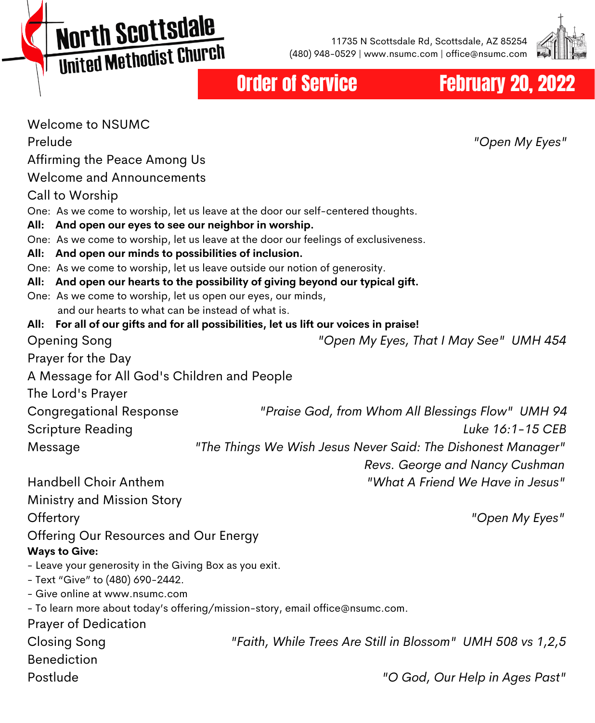**North Scottsdale MOI'LII SCO CESCRIPT** 

11735 N Scottsdale Rd, Scottsdale, AZ 85254 (480) 948-0529 | www.nsumc.com | office@nsumc.com



Order of Service **February 20, 2022** 

| <b>Welcome to NSUMC</b>                                                                                                                       |                                                              |
|-----------------------------------------------------------------------------------------------------------------------------------------------|--------------------------------------------------------------|
| Prelude                                                                                                                                       | "Open My Eyes"                                               |
| Affirming the Peace Among Us                                                                                                                  |                                                              |
| <b>Welcome and Announcements</b>                                                                                                              |                                                              |
| Call to Worship                                                                                                                               |                                                              |
| One: As we come to worship, let us leave at the door our self-centered thoughts.                                                              |                                                              |
| All: And open our eyes to see our neighbor in worship.<br>One: As we come to worship, let us leave at the door our feelings of exclusiveness. |                                                              |
| And open our minds to possibilities of inclusion.<br>All:                                                                                     |                                                              |
| One: As we come to worship, let us leave outside our notion of generosity.                                                                    |                                                              |
| And open our hearts to the possibility of giving beyond our typical gift.<br>All:                                                             |                                                              |
| One: As we come to worship, let us open our eyes, our minds,                                                                                  |                                                              |
| and our hearts to what can be instead of what is.<br>All: For all of our gifts and for all possibilities, let us lift our voices in praise!   |                                                              |
| Opening Song                                                                                                                                  | "Open My Eyes, That I May See" UMH 454                       |
| Prayer for the Day                                                                                                                            |                                                              |
| A Message for All God's Children and People                                                                                                   |                                                              |
| The Lord's Prayer                                                                                                                             |                                                              |
| <b>Congregational Response</b>                                                                                                                | "Praise God, from Whom All Blessings Flow" UMH 94            |
| Scripture Reading                                                                                                                             | Luke 16:1-15 CEB                                             |
| Message                                                                                                                                       | "The Things We Wish Jesus Never Said: The Dishonest Manager" |
|                                                                                                                                               | Revs. George and Nancy Cushman                               |
| Handbell Choir Anthem                                                                                                                         | "What A Friend We Have in Jesus"                             |
| Ministry and Mission Story                                                                                                                    |                                                              |
| Offertory                                                                                                                                     | "Open My Eyes"                                               |
| Offering Our Resources and Our Energy                                                                                                         |                                                              |
| <b>Ways to Give:</b>                                                                                                                          |                                                              |
| - Leave your generosity in the Giving Box as you exit.<br>- Text "Give" to (480) 690-2442.                                                    |                                                              |
| - Give online at www.nsumc.com                                                                                                                |                                                              |
| - To learn more about today's offering/mission-story, email office@nsumc.com.                                                                 |                                                              |
| <b>Prayer of Dedication</b>                                                                                                                   |                                                              |
| <b>Closing Song</b>                                                                                                                           | "Faith, While Trees Are Still in Blossom" UMH 508 vs 1,2,5   |
| <b>Benediction</b>                                                                                                                            |                                                              |
| Postlude                                                                                                                                      | "O God, Our Help in Ages Past"                               |